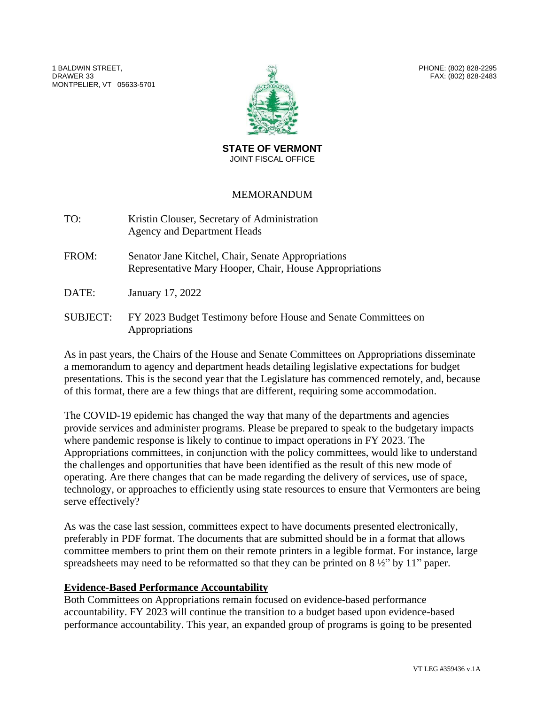1 BALDWIN STREET, DRAWER 33 MONTPELIER, VT 05633-5701



PHONE: (802) 828-2295 FAX: (802) 828-2483

**STATE OF VERMONT** JOINT FISCAL OFFICE

## MEMORANDUM

| TO: | Kristin Clouser, Secretary of Administration |
|-----|----------------------------------------------|
|     | Agency and Department Heads                  |

FROM: Senator Jane Kitchel, Chair, Senate Appropriations Representative Mary Hooper, Chair, House Appropriations

DATE: January 17, 2022

SUBJECT: FY 2023 Budget Testimony before House and Senate Committees on Appropriations

As in past years, the Chairs of the House and Senate Committees on Appropriations disseminate a memorandum to agency and department heads detailing legislative expectations for budget presentations. This is the second year that the Legislature has commenced remotely, and, because of this format, there are a few things that are different, requiring some accommodation.

The COVID-19 epidemic has changed the way that many of the departments and agencies provide services and administer programs. Please be prepared to speak to the budgetary impacts where pandemic response is likely to continue to impact operations in FY 2023. The Appropriations committees, in conjunction with the policy committees, would like to understand the challenges and opportunities that have been identified as the result of this new mode of operating. Are there changes that can be made regarding the delivery of services, use of space, technology, or approaches to efficiently using state resources to ensure that Vermonters are being serve effectively?

As was the case last session, committees expect to have documents presented electronically, preferably in PDF format. The documents that are submitted should be in a format that allows committee members to print them on their remote printers in a legible format. For instance, large spreadsheets may need to be reformatted so that they can be printed on  $8\frac{1}{2}$ " by 11" paper.

## **Evidence-Based Performance Accountability**

Both Committees on Appropriations remain focused on evidence-based performance accountability. FY 2023 will continue the transition to a budget based upon evidence-based performance accountability. This year, an expanded group of programs is going to be presented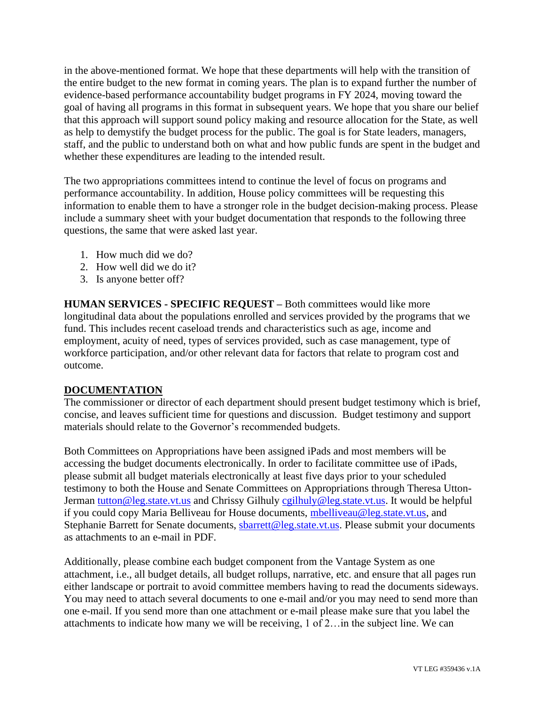in the above-mentioned format. We hope that these departments will help with the transition of the entire budget to the new format in coming years. The plan is to expand further the number of evidence-based performance accountability budget programs in FY 2024, moving toward the goal of having all programs in this format in subsequent years. We hope that you share our belief that this approach will support sound policy making and resource allocation for the State, as well as help to demystify the budget process for the public. The goal is for State leaders, managers, staff, and the public to understand both on what and how public funds are spent in the budget and whether these expenditures are leading to the intended result.

The two appropriations committees intend to continue the level of focus on programs and performance accountability. In addition, House policy committees will be requesting this information to enable them to have a stronger role in the budget decision-making process. Please include a summary sheet with your budget documentation that responds to the following three questions, the same that were asked last year.

- 1. How much did we do?
- 2. How well did we do it?
- 3. Is anyone better off?

**HUMAN SERVICES - SPECIFIC REQUEST –** Both committees would like more longitudinal data about the populations enrolled and services provided by the programs that we fund. This includes recent caseload trends and characteristics such as age, income and employment, acuity of need, types of services provided, such as case management, type of workforce participation, and/or other relevant data for factors that relate to program cost and outcome.

## **DOCUMENTATION**

The commissioner or director of each department should present budget testimony which is brief, concise, and leaves sufficient time for questions and discussion. Budget testimony and support materials should relate to the Governor's recommended budgets.

Both Committees on Appropriations have been assigned iPads and most members will be accessing the budget documents electronically. In order to facilitate committee use of iPads, please submit all budget materials electronically at least five days prior to your scheduled testimony to both the House and Senate Committees on Appropriations through Theresa UttonJerman [tutton@leg.state.vt.us](mailto:tutton@leg.state.vt.us) and Chrissy Gilhuly [cgilhuly@leg.state.vt.us.](mailto:cgilhuly@leg.state.vt.us) It would be helpful if you could copy Maria Belliveau for House documents, [mbelliveau@leg.state.vt.us,](mailto:mbelliveau@leg.state.vt.us) and Stephanie Barrett for Senate documents, [sbarrett@leg.state.vt.us.](mailto:sbarrett@leg.state.vt.us) Please submit your documents as attachments to an e-mail in PDF.

Additionally, please combine each budget component from the Vantage System as one attachment, i.e., all budget details, all budget rollups, narrative, etc. and ensure that all pages run either landscape or portrait to avoid committee members having to read the documents sideways. You may need to attach several documents to one e-mail and/or you may need to send more than one e-mail. If you send more than one attachment or e-mail please make sure that you label the attachments to indicate how many we will be receiving, 1 of 2…in the subject line. We can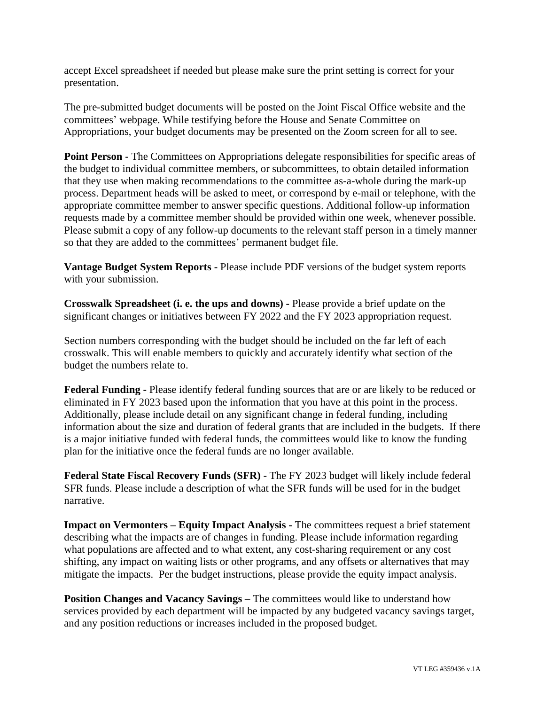accept Excel spreadsheet if needed but please make sure the print setting is correct for your presentation.

The pre-submitted budget documents will be posted on the Joint Fiscal Office website and the committees' webpage. While testifying before the House and Senate Committee on Appropriations, your budget documents may be presented on the Zoom screen for all to see.

**Point Person -** The Committees on Appropriations delegate responsibilities for specific areas of the budget to individual committee members, or subcommittees, to obtain detailed information that they use when making recommendations to the committee as-a-whole during the mark-up process. Department heads will be asked to meet, or correspond by e-mail or telephone, with the appropriate committee member to answer specific questions. Additional follow-up information requests made by a committee member should be provided within one week, whenever possible. Please submit a copy of any follow-up documents to the relevant staff person in a timely manner so that they are added to the committees' permanent budget file.

**Vantage Budget System Reports -** Please include PDF versions of the budget system reports with your submission.

**Crosswalk Spreadsheet (i. e. the ups and downs) -** Please provide a brief update on the significant changes or initiatives between FY 2022 and the FY 2023 appropriation request.

Section numbers corresponding with the budget should be included on the far left of each crosswalk. This will enable members to quickly and accurately identify what section of the budget the numbers relate to.

**Federal Funding -** Please identify federal funding sources that are or are likely to be reduced or eliminated in FY 2023 based upon the information that you have at this point in the process. Additionally, please include detail on any significant change in federal funding, including information about the size and duration of federal grants that are included in the budgets. If there is a major initiative funded with federal funds, the committees would like to know the funding plan for the initiative once the federal funds are no longer available.

**Federal State Fiscal Recovery Funds (SFR)** - The FY 2023 budget will likely include federal SFR funds. Please include a description of what the SFR funds will be used for in the budget narrative.

**Impact on Vermonters – Equity Impact Analysis -** The committees request a brief statement describing what the impacts are of changes in funding. Please include information regarding what populations are affected and to what extent, any cost-sharing requirement or any cost shifting, any impact on waiting lists or other programs, and any offsets or alternatives that may mitigate the impacts. Per the budget instructions, please provide the equity impact analysis.

**Position Changes and Vacancy Savings** – The committees would like to understand how services provided by each department will be impacted by any budgeted vacancy savings target, and any position reductions or increases included in the proposed budget.